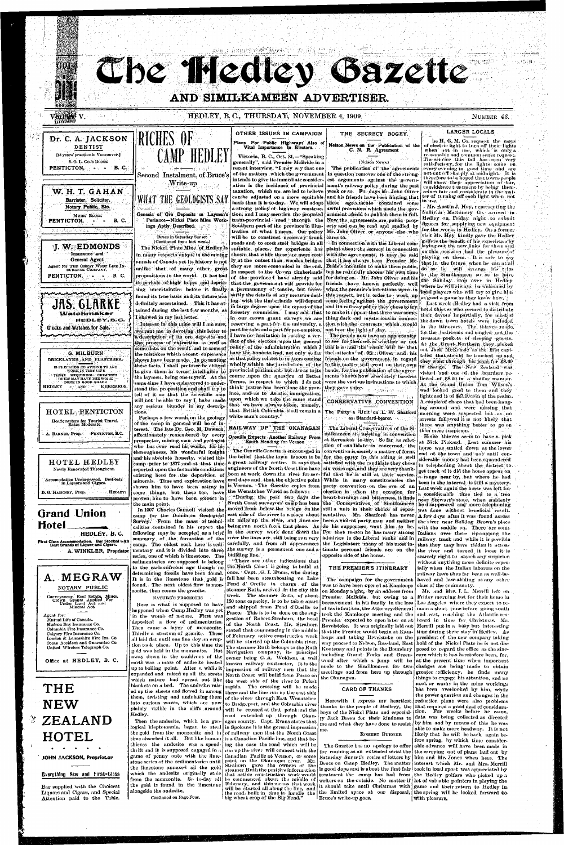HOTEL HEDLEY Newly Renovated Throughout. Accomodation Unsurpassed. Best only in Liquors ami Cigars. D. G. HACKNEY, Prop. HEDLEY;



First Class Accommodation. Bar Stocked with Best Brands of Liquor and Cigars.

A. WINKLER, Proprietor

## **A. MEGRAW**  NOTARY PUBLIC

Conveyancer, Real Estate. Mines, Crown Grunts Applied For Under Land Act and Mineral Act.

Agent for: Mutual Lifo of Canada. Hudson Bay Insurance Co. Columbia Firo Insurance Co. Calgary Fire Insurance Co. London & Lancashire Fire Ins. Co. Ocean Accident and Guarantee Co. United Wireless Telegraph Co.

Office at HEDLEY, B. C.



thoroughness, his wonderful insight and- his absolute honesty, visited this camp prior to 1877 and at that time reported upon the favorable conditions some things, but these too, have the Wenatchee World as follows: proyen him to have been correct in<br>the main point. the main point.

## **•y T H E N E W ZEALAND HOTEL**  ##\*#\* '

#### JOHN JACKSON, Proprietor

### Everything New and First-Class

Bar supplied with the Choicest Liquors and Cigars, and Special Attention paid to the Table. who has ever read his works, for his

camp for the Dominion Geological east side of the river to a place about Survey. From the mass of techni- six miles up the river, and lines are camp. The oldest rock here is sedi. carefully, and from all appearances mentary and it is divided into three the survey is a permanent one and a series, one of which is limestone. The building line. sedimentaries are supposed to belong to the carbonifrrous age though no the North Coast is going to build at determining fossils have been found. once. Capt. G. I. Evans, who during It is in the limestone that gold is fall has been steamboating on Lake found.. The- next oldest flow is mon-

zonite, then comes the granite. NATURE'S PROCESSES

Here is what is supposed to have happened when Camp Hedley was yet in the womb of nature. First was deposited a flow of sedimentaries. Then came- a layer of monzonite. Thirdly a stratum of granite. These all laid flat until one fine dey an eruption took place. Up to this time the gold was held in the monzonite. But nway down iu the cauldrons of the earth was a mass of andesite heated up to boiling point. After a while it expanded and raised up all the strata North Coast will build from Pasco on which nature had spread out like  $\int$  the west side of the river to Priest blankets on a bed. The andesite raised up tlie sheets and flowed in among them, twisting and undulating them into curious waves, which are now plainly visible in the cliffs around Hedley.

Then the andesite, which is a geological kleptomania, began to steal the gold from the monzonite and in time ahsorbed it all. But like human thieves the andesite was a spendgame of penny ante with the limestone series of the sedimentaries until the limestone annexed all the gold which the andesite originally stole from the monzonite. So to-day all the gold is found in the limestone alongside the andesite,

Continued on Pago Four.

South Heading for Vernon

The Oroville Gazette is encouraged in

"There are other indications that Pend d' Oreille in charge of the steamer Ruth, arrived in the city this week. The steamer Ruth, of about 150 tons capacity, is to be taken apart and shipped from Pend d'Oreille to and employ now your gottene to gestion of Robert Strahous, the head gestion of Robert Strahorn, the head of the North Coast. Mr. Strahorn stated that commencing in the middle of February active construction work. will be started up the Columbia river. The steamer Ruth belongs to the Ruth Navigation company, its principal owner being C. A. Woldson, a well known railway contractor. It is the impression of railway men that the rapids. The crossing will be made there and the line run up the east side of the river-through East-Wenatchee to Bridgeport, and the Columbia river will be crossed at that point and the road extended up through Okan-

thrift and it is supposed engaged in a run up the river, will connect with the agan county. Capt. Evans states that ogan councy. Men to rails calles black<br>In Orelaine it is the Normal Internation in spokane was that the Marti Chan of railway men that the North Coast  $\mathop{\text{!i}}$  is a Canadian Pacific line, and that being the case the road which will be Canadian Pacific at Vernon, or some point on the Okanagan river. Mr.<br>Strahorn gave the owners of the steamer Ruth the positive information that active construction work would be commenced about the middle of February, and this means that work will be started all along the line, and

existing here for the deposition of been at work down-the river for sev- ful that he is still at their service. minerals. Time and exploration have eral days and that the objective point While in many constituencies the shown him to have been astray in is Vernon. The Gazette copies from party convention on the eve of an In 1907 Charles Camsell visited the moved from below the bridge on the still a unit in their choice of reprecalities contained in his report the being run north from that place. As do his supporters want him to be. following may be accepted as a brief in the survey work done down the For that reason he has many strong summary of the formation of the river the lines are, still being run very admirers in the Liberal ranks and in the belief that the town is soon to be for the party in this riding is well a great railway centre. It says that satisfied with the candidate they chose engineers of the North Coast line have six years ago, and they are very thank-"During the past two days the heart-burnings and bitterness, it finds North Coast surveyors' ca $\Xi$ p has been the Conservatives of Similkameen a t Keremeos to-day. So far as selection of candidate is concerned, the convention is merely a matter of form, election is often the occasion for sentative. Mr. Shatford; has never been a violent party man «nd! neither the Legislature many of his most intimate personal friends are on the opposite side of the house.

## THE PREMIER'S ITINERARY

The campaign for the government was to have been opened at Kamloops on Monday night, by an address from Premier, McBride. but owing to a bereavement in his family in the loss took the Kamloops meeting and the Premier expected to open later on at the Okanagan.

#### CARD OF THANKS

thanks to the people of Hedleey, the that required a good deal of consideraboys of the Nickel Plate and especial- tion. For weeks before he came,  $\frac{1}{\sqrt{2}}$  Jack Breen for their kindness to  $\frac{1}{\sqrt{2}}$  data was being collected as directed me and what they have done to assist by him and by means of this he was

#### ROBERT BURGER

will be started all along the line, and we have allowed the limit of the space at our disposal, the spring will be looked forward to.<br>the whost gren of the Big Bend." Burge's write in goog. writers on the outside. No matter if  $\vert$  lot of valuable pointers in playing the I Bruce's write-up goes.

at Nick Pickard. - Last summer his horse was untied down at the lowerend of, the town and not until considerable money had been.squandered in telephoning about the district to , get track of it did the horse appear on a range near by, but where he had been in the interval -is still a mystery. Last week again the horse was left for a considerable time tied to a tree near Stewart's store, when suddenly he disappeared and' more telephoning was done without beneficial result. A few days after it was -found'across the river near Bulldog Brown's place with the saddle on. There are some Italians over there rip-rapping the railway track and while it is possible that they may have ridden it across the river and turned it loose it is scarcely right to attach any suspicion without anything more definite especially when the Italian laborers on the railway have thus far been as well-behaved and law-abiding as any otherclass of the community.

of his infant son, the Attorney-General | main a short time before going south Revelstoke. It was originally laid out Merrill put in a busy but interesting that the Premier would begin at Kam- time during their stay in Hedley. As loops and taking Revelstoke on the president of the new company taking way proceed to Nelson, Rossland, East hold of the Nickel Plate he is not dis-Kootenay and points in the Boundary  $\vert$  posed to regard the office as the sineincluding Grand Forks and Green- cure which it has heretofore been, for, wood after which a jump will be at the present time when important made to the Similkanicen for two changes are being made to obtain meetings and from here up through greater  $\epsilon$  efficiency, he finds many Herewith I express my heartiest. reduction plant were also problems The Gazette has no apology to offer able advance will have been made in for running as an extended serial the the carrying out of plans laid out by Saturday Sunset's series of letters by  $\left| \text{ him and Mr. Jones when here. The} \right|$ Bruce on Camp Hedley. The matter interest which Mr. and Mrs. Merrill is good dope and is about the first fair  $\vert$  took in local sport was appreciated by treatment the camp has had from the Hedley golfers who picked up a it should take until Christmas with  $\frac{1}{2}$  game and their return to Hedley in, Mr. and Mrs. I. L. Merrill left on Friday morning last for their home in Los Angeles where they expect to reand east, reaching the Atlantic seaboard in time for Christmas. Mr. things to engage his attention, and no nook or canny in the mine workings has been overlooked by him, while the power question and changes in the able to make more headway. It is not likely that he will be back again before spring, by which time considerwith plane with

**me.**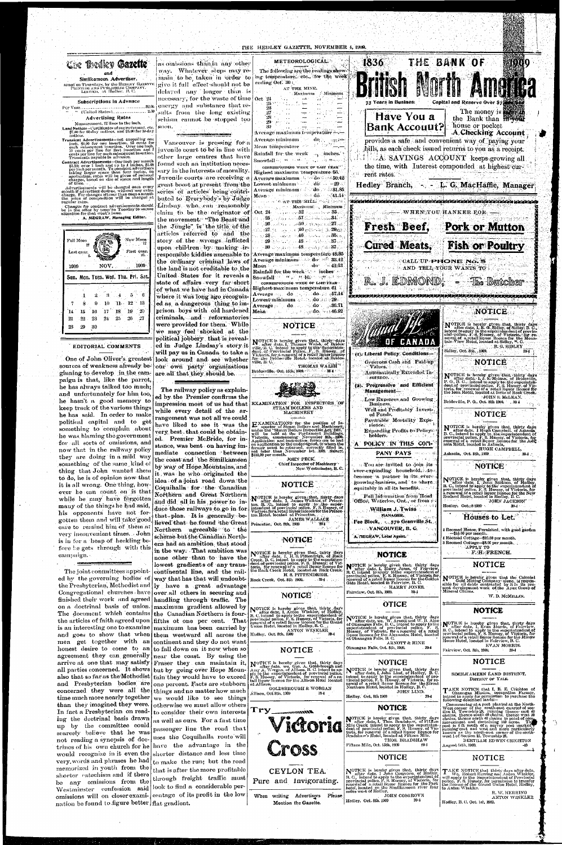

for all sorts of omissions, and now that in the railway policy they are doing in a mild way something of the same kind of thing that John wanted them to do, he is of opinion now that it is all wrong. One thing, however he can count on is that while he may have forgotten many of the things he had said, his opponents have not forgotten them and will take good care to remind him of them at very inconvenient times. John is in for a heap of heckling before he gets through with this campaign.

The joint committees appointed by the governing bodies of the Presbyterian, Methodist and Congregational churches have finished their work and agreed handling through traffic. The on a doctrinal basis of union. The document which contains the Canadian Northern is fourthe articles of faith agreed upon fifths of one per cent. That is an interesting one to examine maximum has been carried by and goes to show that when them westward all across the men get together with an honest desire to come to an  $\vert$  to fall down on it now when so agreement they can generally near the coast. By using the arrive at one that may satisfy Fraser they can maintain it, all parties concerned. It shows but by going over Hope Mounalso that so far as the Methodist tain they would have to exceed and Presbyterian bodies are concerned they were all the time much more nearly together than they imagined they were. In fact a Presbyterian on reading the dectrinal basis drawn up by the committee could scarcely believe that he was not reading a synopsis of doctrines of his own church for he would recognize in it even the very, words and phrases he had memorized in youth from the shorter catechism and if there be any omissions from the Westminster confession said omissions will on closer exami- centage of its profit in the low nation be found to figure better | flat gradient.

 $\sim 10^{10}$  m

stunce, was bent on having immediate connection between the coast and the Similkameen by way of Hope Mountains, and it was he who originated the idea of a joint road down the Coquihalla for the Canadian Northern and Great Northern and did all in his power to induce those railways to go in for. that plan. It is generally believed that he found the Great Northern agreeable to the scheme but the Canadian Northern had an ambition that stood in the way. That ambition was none other than to have the lowest gradients of any transcontinental line, and the railway that has that will undoubtly have a great advantage over all others in securing and maximum gradient allowed by continent and they do not want one percent. Facts are stubborn things and no matter how much we would like to see things otherwise we must allow others to consider their own interests as well as ours. For a fast time passenger line the road that uses the Coquihalla route will have the advantage in the shorter distance and less time to make the run; but the road that is after the more profitable through freight traffic must look to find a considerable per-

EXAMINATION for the position of Insector of Steam Bollers and Machinery, under the "Steam Bollers Inspection Act, 1901, will be held at the Parliament Buildings. Victoria, commencing November 8th, 1909, Application and ins A POLICY IN THIS COM-HUGH CAMPBELL. PANY PAYS Ashnola, Oct. 8th, 1909.  $39-1$ **JOHN PECK,** Chief Inspector of Machinery  $\approx$  You are invited to join its **NOTICE** Now Westminster, B. C. ever-expanding household, to become in partner in its ever-NOTICE is hereby given that, thirty days<br>
R. C., intend to apply to the superintendent of<br>
B. C., intend to apply to the superintendent of<br>
provincial police, F. S. Hussey, of Victoria, for<br>
a renowal of a retail liquor li **NOTICE** growing business, and to share. equitably in all its benefits. NOTICE is hereby given that, thirty days<br>to after date, I, James Wallace of Prince-<br>ton B. C., intend to apply to the super-<br>intendent of previncial police, F. S. Hussey, of<br>Victoria for a retail liquorilicence for the Pri Full Information from Head 'Office, Waterloo, Ont., or from : JOHN JACKSON" Hedley: Oct., 8-1909 39-4 William J. Twiss **MANAGER.** Houses to Let. **JAMES WALLACE** Fee Block, - 570 Granville St. Princeton, Oct. 8th, 1909  $294^{\circ}$ أتلوث والأكلاب **WANCOUVER, B. C.** 1 Roomed House, Furnished, with good garden<br>- \$15.00 per month. A. HEGRAW, Local Agent. Roomed Cottage-\$10.00 per month.  $\{1,2,3,4,4\}$ NOTICE 3 Roomed Cottage-\$8.00 per month. da terran NOTICE is hereby given that, thirty days<br>of after date, I, H.S.Pittendrigh, of Rock<br>Creek, B.C. intend to apply to the superinten-<br>dent of provincial police, F.S. Hussey, of Vic-<br>toria, for renewal of a retail liquor lieen F. H. FRENCH. **Special NOTICE NOTICE** is hereby given that, thirty days<br>
B. C. intend to apply to the superintendent of<br>
provincial police, F. S. Hussey, of Victoria for<br>
renewal of a retail liquor licence for the Golden<br>
Gate Hotel, located in Fairy **NOTICE** H. S. PITTENDRIGH. NOTICE is hereby given that the Colonial<br>sible for all debts contracted by it in its pre-<br>sent development work of the Apex Group of<br>Mineral Claims. Rock Creek, Oct. 8th 1909.  $39 - 1$ HARRY JONES. Fairview, Oct. 8th, 1909. NOTICE W. D. MCMILLAN. **OTICE** NOTICE is hereby given that, thirty days<br>B. C. intendete, I. Anton Winkler, of Hedley,<br>B. C. intend to apply to the superintendent of<br>provincial police, F. S. Hussey, of Victoria, for<br>renewal of a retail liquor licence for **NOTICE** NOTICE is hereby given that, thirty days<br>of Okamagan Falls, B. C., intend to apply to the<br>superintendent of provincial police. F. S.<br>superintendent of provincial police. F. S.<br>Hassey, of Victoria, for a renewal of a retail **NOTICE** is hereby given that, thirty days<br>
I. C., intend to apply to the superintendent of<br>
provincial police, F. S. Hussey, of Victoria, for<br>
renewal of a retail liquor licence for the Miners<br>
Home Hotel, located in Fair ANTON WINKLER<br>Hedley, Oct. 8th, 1909 -39-4 ARNOTT & HINE EVAN MORRIS. Okamagan Falls, Oct. 8th, 1909.  $39 - 4$ **NOTICE** Fairview, Oct. 8th, 1909. -39-4 **NOTICE NOTICE** NOTICE is hereby given that, thirty days<br>after date, we, Geo. A. Goldsbrough and<br>Amy A. Worgan, of Allison, B. C. intend to ap-NOTICE is hereby given that, thirty days<br>after date, I, John Lind, of Hedley, B.C.<br>intend, to apply to the superintendent of pro-<br>vincial police, F.S. Hussey, of Victoria, for re-<br>nowal of a retail liquor licence for the G Any A. Weight, or Anisota, D. Newton, D. S. Hussey, of Victoria, for reuewal of a re-<br>P. S. Hussey, of Victoria, for reuewal of a re-<br>tail liquor licence for the Allison Hotel located<br>at Allison, SIMILKAMEEN LAND DISTRICT. DISTRICT OF YALE. TAKE NOTICE that I, B. E. Crichton of Okamagan Mission, occupation Farmer, intend to apply for permission to purchase the following described lands:— **GOLDSBROUGH & WORGAN** JOHN LIND. Állison, Oct 8th, 1909 Hedley. Oct. 8th 1909  $39 - 1$ Following described intisi-<br>
Commencing at a post planted at the North-<br>
West corner of the south-east quarter of sec-<br>
West corner of the south-east quarter of sec-<br>
tion 15, Township 28, running thence west 40<br>
chains, **NOTICE** Try<sub>-</sub> **Elizzaren 18** NOTICE is hereby given that, thirty days<br>after date, I, Thos. Bradshaw, of Fif.g.en<br>Mile Creek intend to apply to the superinten-<br>dent of provincial police, F.S. Hussey, of Vic-<br>toria, for renewal of a retail liquor licenc Victoria THOS. BRADSHAW BERTRAM EDWIN CRICHTON Cross Fifteen Mile, Oct. 15th, 1909  $40 -$ August 14tb, 1909,  $-10$ **NOTICE** NOTICE NOTICE is hereby given that, thirty days<br>
B. C., intend to apply to the superintendent of<br>
provincial police,  $\mu$ , S. Haussey, of Victoria, for<br>
provincial police,  $\mu$ , S. Haussey, of Victoria, for<br>
poestion of a retail CEYLON TEA. TAKE NOTICE that thirty days after date, We, Robert Herring and Anton Winkler, will apply to the Superintendent of Provincial police, F.S. Itussey, for permission to transfer the licence of the Grand Union Hotel, Hedley, t Pure and Invigorating. R. W. HERRING When writing Advertisers JOHN COSGROVE Please ANTON WINKLER Hedley. Oct. 8th. 1909 Hedley, B. C. Oct. 1st, 1909. Mention the Gazette.